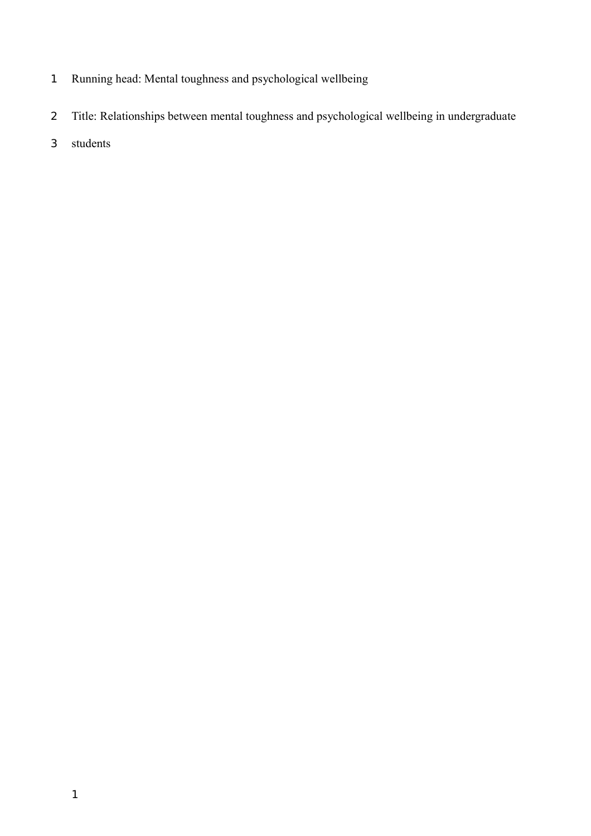- Running head: Mental toughness and psychological wellbeing 1
- Title: Relationships between mental toughness and psychological wellbeing in undergraduate 2
- students 3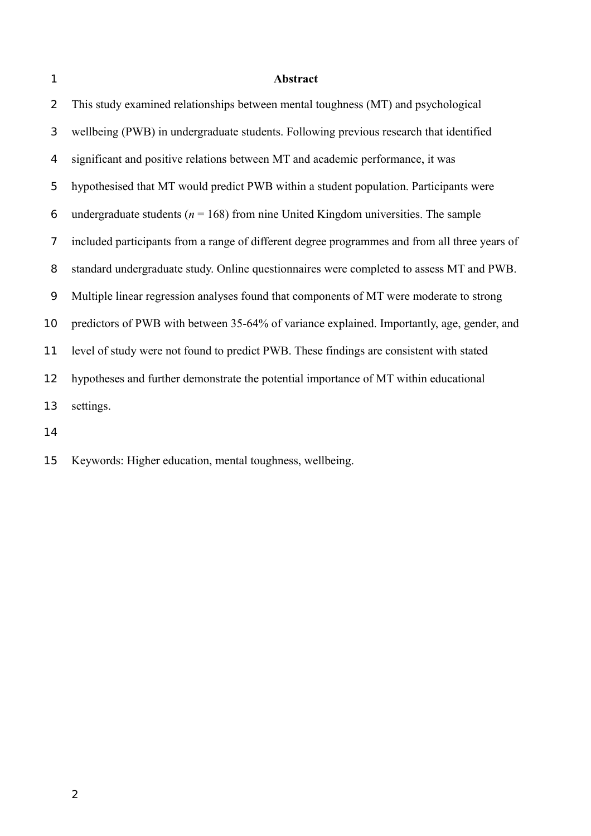1

### **Abstract**

This study examined relationships between mental toughness (MT) and psychological wellbeing (PWB) in undergraduate students. Following previous research that identified significant and positive relations between MT and academic performance, it was hypothesised that MT would predict PWB within a student population. Participants were undergraduate students ( $n = 168$ ) from nine United Kingdom universities. The sample included participants from a range of different degree programmes and from all three years of standard undergraduate study. Online questionnaires were completed to assess MT and PWB. Multiple linear regression analyses found that components of MT were moderate to strong predictors of PWB with between 35-64% of variance explained. Importantly, age, gender, and level of study were not found to predict PWB. These findings are consistent with stated hypotheses and further demonstrate the potential importance of MT within educational settings. 2 3 4 5 6 7 8 9 10 11 12 13

14

Keywords: Higher education, mental toughness, wellbeing. 15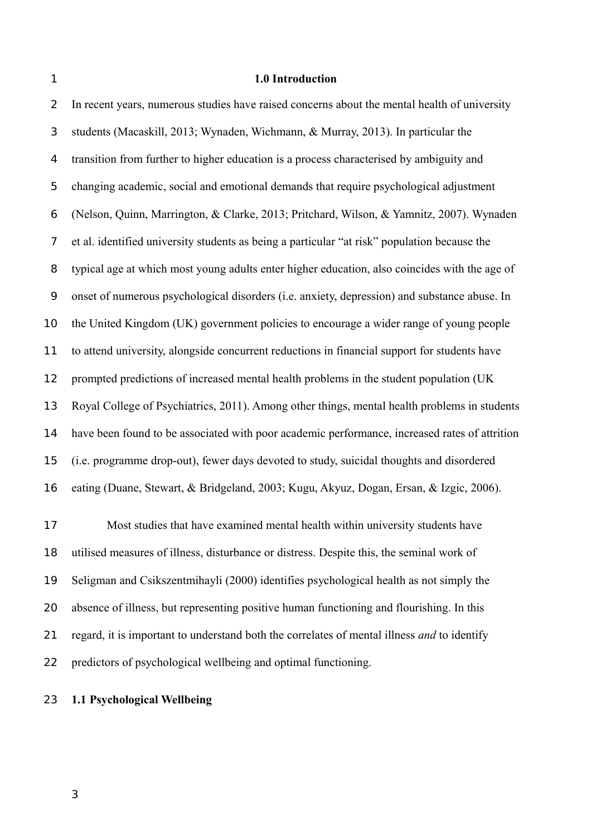1

### **1.0 Introduction**

In recent years, numerous studies have raised concerns about the mental health of university students (Macaskill, 2013; Wynaden, Wichmann, & Murray, 2013). In particular the transition from further to higher education is a process characterised by ambiguity and changing academic, social and emotional demands that require psychological adjustment (Nelson, Quinn, Marrington, & Clarke, 2013; Pritchard, Wilson, & Yamnitz, 2007). Wynaden et al. identified university students as being a particular "at risk" population because the typical age at which most young adults enter higher education, also coincides with the age of onset of numerous psychological disorders (i.e. anxiety, depression) and substance abuse. In the United Kingdom (UK) government policies to encourage a wider range of young people to attend university, alongside concurrent reductions in financial support for students have prompted predictions of increased mental health problems in the student population (UK Royal College of Psychiatrics, 2011). Among other things, mental health problems in students have been found to be associated with poor academic performance, increased rates of attrition (i.e. programme drop-out), fewer days devoted to study, suicidal thoughts and disordered eating (Duane, Stewart, & Bridgeland, 2003; Kugu, Akyuz, Dogan, Ersan, & Izgic, 2006). 2 3 4 5 6 7 8 9 10 11 12 13 14 15 16

Most studies that have examined mental health within university students have utilised measures of illness, disturbance or distress. Despite this, the seminal work of Seligman and Csikszentmihayli (2000) identifies psychological health as not simply the absence of illness, but representing positive human functioning and flourishing. In this regard, it is important to understand both the correlates of mental illness *and* to identify predictors of psychological wellbeing and optimal functioning. 17 18 19 20 21 22

#### **1.1 Psychological Wellbeing** 23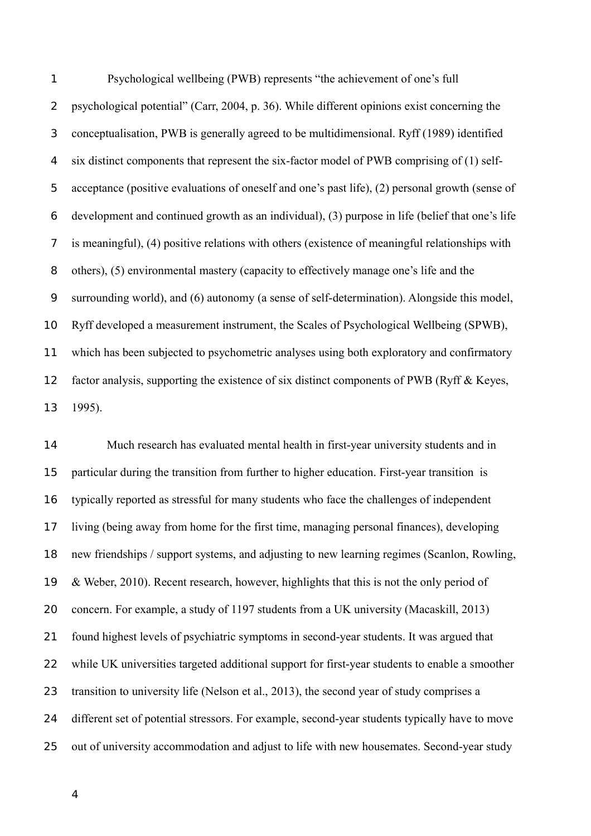Psychological wellbeing (PWB) represents "the achievement of one's full psychological potential" (Carr, 2004, p. 36). While different opinions exist concerning the conceptualisation, PWB is generally agreed to be multidimensional. Ryff (1989) identified six distinct components that represent the six-factor model of PWB comprising of (1) selfacceptance (positive evaluations of oneself and one's past life), (2) personal growth (sense of development and continued growth as an individual), (3) purpose in life (belief that one's life is meaningful), (4) positive relations with others (existence of meaningful relationships with others), (5) environmental mastery (capacity to effectively manage one's life and the surrounding world), and (6) autonomy (a sense of self-determination). Alongside this model, Ryff developed a measurement instrument, the Scales of Psychological Wellbeing (SPWB), which has been subjected to psychometric analyses using both exploratory and confirmatory factor analysis, supporting the existence of six distinct components of PWB (Ryff & Keyes, 1995). 1  $\overline{2}$ 3 4 5 6 7 8 9 10 11 12 13

Much research has evaluated mental health in first-year university students and in particular during the transition from further to higher education. First-year transition is typically reported as stressful for many students who face the challenges of independent living (being away from home for the first time, managing personal finances), developing new friendships / support systems, and adjusting to new learning regimes (Scanlon, Rowling, & Weber, 2010). Recent research, however, highlights that this is not the only period of concern. For example, a study of 1197 students from a UK university (Macaskill, 2013) found highest levels of psychiatric symptoms in second-year students. It was argued that while UK universities targeted additional support for first-year students to enable a smoother transition to university life (Nelson et al., 2013), the second year of study comprises a different set of potential stressors. For example, second-year students typically have to move out of university accommodation and adjust to life with new housemates. Second-year study 14 15 16 17 18 19 20 21 22 23 24 25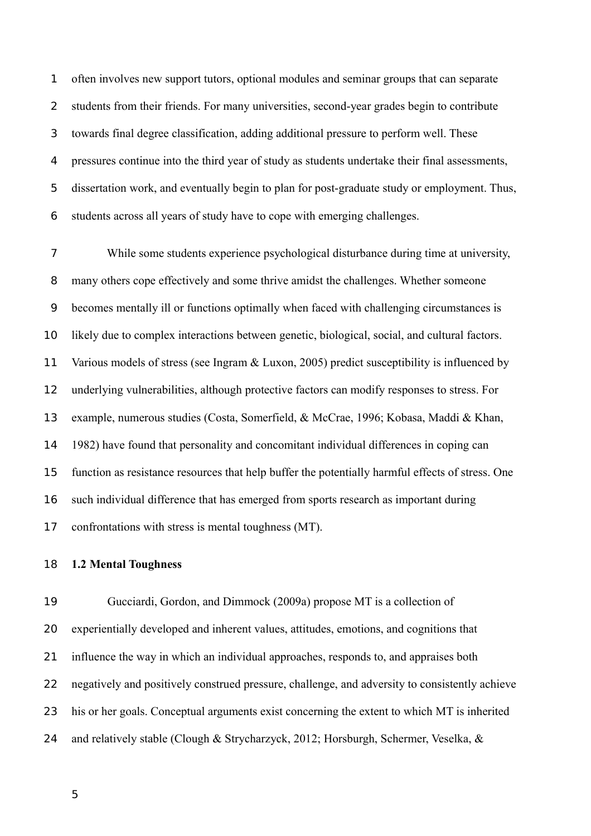often involves new support tutors, optional modules and seminar groups that can separate students from their friends. For many universities, second-year grades begin to contribute towards final degree classification, adding additional pressure to perform well. These pressures continue into the third year of study as students undertake their final assessments, dissertation work, and eventually begin to plan for post-graduate study or employment. Thus, students across all years of study have to cope with emerging challenges. 1  $\overline{2}$ 3 4 5 6

While some students experience psychological disturbance during time at university, many others cope effectively and some thrive amidst the challenges. Whether someone becomes mentally ill or functions optimally when faced with challenging circumstances is likely due to complex interactions between genetic, biological, social, and cultural factors. Various models of stress (see Ingram & Luxon, 2005) predict susceptibility is influenced by underlying vulnerabilities, although protective factors can modify responses to stress. For example, numerous studies (Costa, Somerfield, & McCrae, 1996; Kobasa, Maddi & Khan, 1982) have found that personality and concomitant individual differences in coping can function as resistance resources that help buffer the potentially harmful effects of stress. One such individual difference that has emerged from sports research as important during confrontations with stress is mental toughness (MT). 7 8 9 10 11 12 13 14 15 16 17

#### **1.2 Mental Toughness** 18

Gucciardi, Gordon, and Dimmock (2009a) propose MT is a collection of experientially developed and inherent values, attitudes, emotions, and cognitions that influence the way in which an individual approaches, responds to, and appraises both negatively and positively construed pressure, challenge, and adversity to consistently achieve his or her goals. Conceptual arguments exist concerning the extent to which MT is inherited and relatively stable (Clough & Strycharzyck, 2012; Horsburgh, Schermer, Veselka, & 19 20 21 22 23 24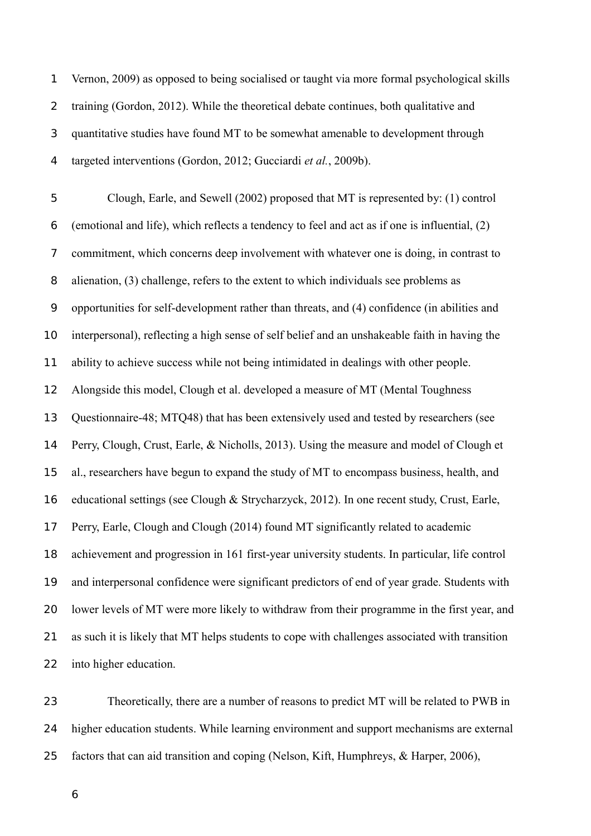Vernon, 2009) as opposed to being socialised or taught via more formal psychological skills training (Gordon, 2012). While the theoretical debate continues, both qualitative and quantitative studies have found MT to be somewhat amenable to development through targeted interventions (Gordon, 2012; Gucciardi *et al.*, 2009b). 1  $\overline{2}$ 3 4

Clough, Earle, and Sewell (2002) proposed that MT is represented by: (1) control (emotional and life), which reflects a tendency to feel and act as if one is influential, (2) commitment, which concerns deep involvement with whatever one is doing, in contrast to alienation, (3) challenge, refers to the extent to which individuals see problems as opportunities for self-development rather than threats, and (4) confidence (in abilities and interpersonal), reflecting a high sense of self belief and an unshakeable faith in having the ability to achieve success while not being intimidated in dealings with other people. Alongside this model, Clough et al. developed a measure of MT (Mental Toughness Questionnaire-48; MTQ48) that has been extensively used and tested by researchers (see Perry, Clough, Crust, Earle, & Nicholls, 2013). Using the measure and model of Clough et al., researchers have begun to expand the study of MT to encompass business, health, and educational settings (see Clough & Strycharzyck, 2012). In one recent study, Crust, Earle, Perry, Earle, Clough and Clough (2014) found MT significantly related to academic achievement and progression in 161 first-year university students. In particular, life control and interpersonal confidence were significant predictors of end of year grade. Students with lower levels of MT were more likely to withdraw from their programme in the first year, and as such it is likely that MT helps students to cope with challenges associated with transition into higher education. 5 6 7 8 9 10 11 12 13 14 15 16 17 18 19 20 21 22

Theoretically, there are a number of reasons to predict MT will be related to PWB in higher education students. While learning environment and support mechanisms are external factors that can aid transition and coping (Nelson, Kift, Humphreys, & Harper, 2006), 23 24 25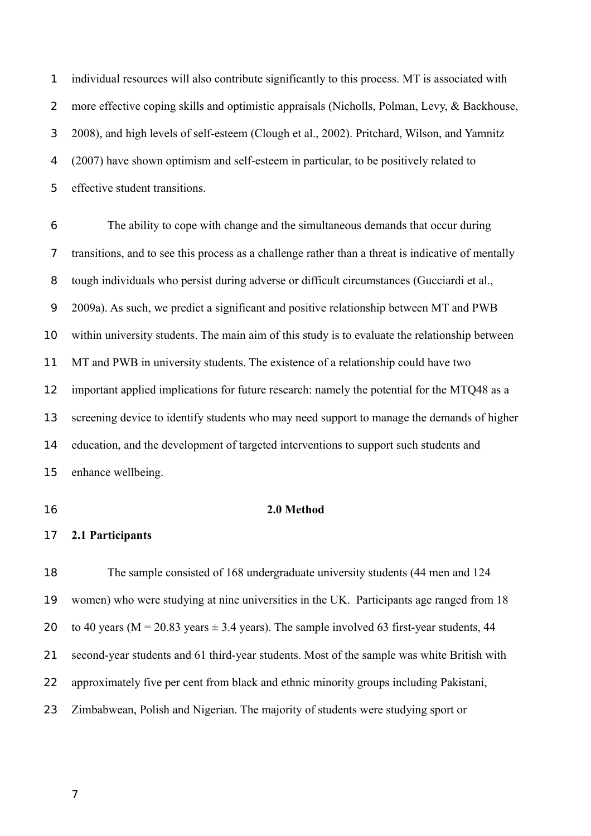individual resources will also contribute significantly to this process. MT is associated with more effective coping skills and optimistic appraisals (Nicholls, Polman, Levy, & Backhouse, 2008), and high levels of self-esteem (Clough et al., 2002). Pritchard, Wilson, and Yamnitz (2007) have shown optimism and self-esteem in particular, to be positively related to effective student transitions. 1  $\overline{2}$ 3 4 5

The ability to cope with change and the simultaneous demands that occur during transitions, and to see this process as a challenge rather than a threat is indicative of mentally tough individuals who persist during adverse or difficult circumstances (Gucciardi et al., 2009a). As such, we predict a significant and positive relationship between MT and PWB within university students. The main aim of this study is to evaluate the relationship between MT and PWB in university students. The existence of a relationship could have two important applied implications for future research: namely the potential for the MTQ48 as a screening device to identify students who may need support to manage the demands of higher education, and the development of targeted interventions to support such students and enhance wellbeing. 6 7 8 9 10 11 12 13 14 15

16

# **2.0 Method**

**2.1 Participants** 17

The sample consisted of 168 undergraduate university students (44 men and 124 women) who were studying at nine universities in the UK. Participants age ranged from 18 to 40 years ( $M = 20.83$  years  $\pm 3.4$  years). The sample involved 63 first-year students, 44 second-year students and 61 third-year students. Most of the sample was white British with approximately five per cent from black and ethnic minority groups including Pakistani, Zimbabwean, Polish and Nigerian. The majority of students were studying sport or 18 19 20 21 22 23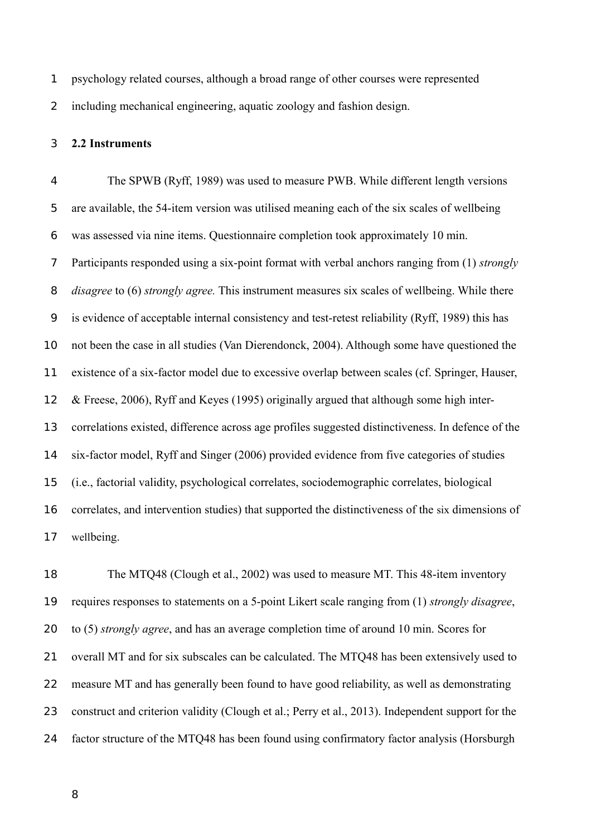psychology related courses, although a broad range of other courses were represented including mechanical engineering, aquatic zoology and fashion design. 1 2

#### **2.2 Instruments** 3

The SPWB (Ryff, 1989) was used to measure PWB. While different length versions are available, the 54-item version was utilised meaning each of the six scales of wellbeing was assessed via nine items. Questionnaire completion took approximately 10 min. Participants responded using a six-point format with verbal anchors ranging from (1) *strongly disagree* to (6) *strongly agree.* This instrument measures six scales of wellbeing. While there is evidence of acceptable internal consistency and test-retest reliability (Ryff, 1989) this has not been the case in all studies (Van Dierendonck, 2004). Although some have questioned the existence of a six-factor model due to excessive overlap between scales (cf. Springer, Hauser, & Freese, 2006), Ryff and Keyes (1995) originally argued that although some high intercorrelations existed, difference across age profiles suggested distinctiveness. In defence of the six-factor model, Ryff and Singer (2006) provided evidence from five categories of studies (i.e., factorial validity, psychological correlates, sociodemographic correlates, biological correlates, and intervention studies) that supported the distinctiveness of the six dimensions of wellbeing. 4 5 6 7 8 9 10 11 12 13 14 15 16 17

The MTQ48 (Clough et al., 2002) was used to measure MT. This 48-item inventory requires responses to statements on a 5-point Likert scale ranging from (1) *strongly disagree*, to (5) *strongly agree*, and has an average completion time of around 10 min. Scores for overall MT and for six subscales can be calculated. The MTQ48 has been extensively used to measure MT and has generally been found to have good reliability, as well as demonstrating construct and criterion validity (Clough et al.; Perry et al., 2013). Independent support for the factor structure of the MTQ48 has been found using confirmatory factor analysis (Horsburgh 18 19 20 21 22 23 24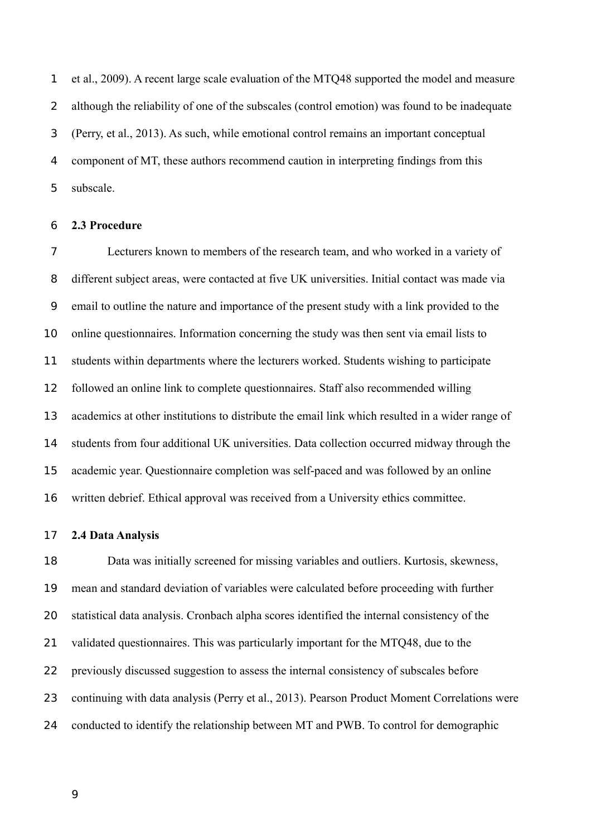et al., 2009). A recent large scale evaluation of the MTQ48 supported the model and measure although the reliability of one of the subscales (control emotion) was found to be inadequate (Perry, et al., 2013). As such, while emotional control remains an important conceptual component of MT, these authors recommend caution in interpreting findings from this subscale. 1  $\overline{2}$ 3 4 5

#### **2.3 Procedure** 6

Lecturers known to members of the research team, and who worked in a variety of different subject areas, were contacted at five UK universities. Initial contact was made via email to outline the nature and importance of the present study with a link provided to the online questionnaires. Information concerning the study was then sent via email lists to students within departments where the lecturers worked. Students wishing to participate followed an online link to complete questionnaires. Staff also recommended willing academics at other institutions to distribute the email link which resulted in a wider range of students from four additional UK universities. Data collection occurred midway through the academic year. Questionnaire completion was self-paced and was followed by an online written debrief. Ethical approval was received from a University ethics committee. 7 8 9 10 11 12 13 14 15 16

#### **2.4 Data Analysis** 17

Data was initially screened for missing variables and outliers. Kurtosis, skewness, mean and standard deviation of variables were calculated before proceeding with further statistical data analysis. Cronbach alpha scores identified the internal consistency of the validated questionnaires. This was particularly important for the MTQ48, due to the previously discussed suggestion to assess the internal consistency of subscales before continuing with data analysis (Perry et al., 2013). Pearson Product Moment Correlations were conducted to identify the relationship between MT and PWB. To control for demographic 18 19 20 21 22 23 24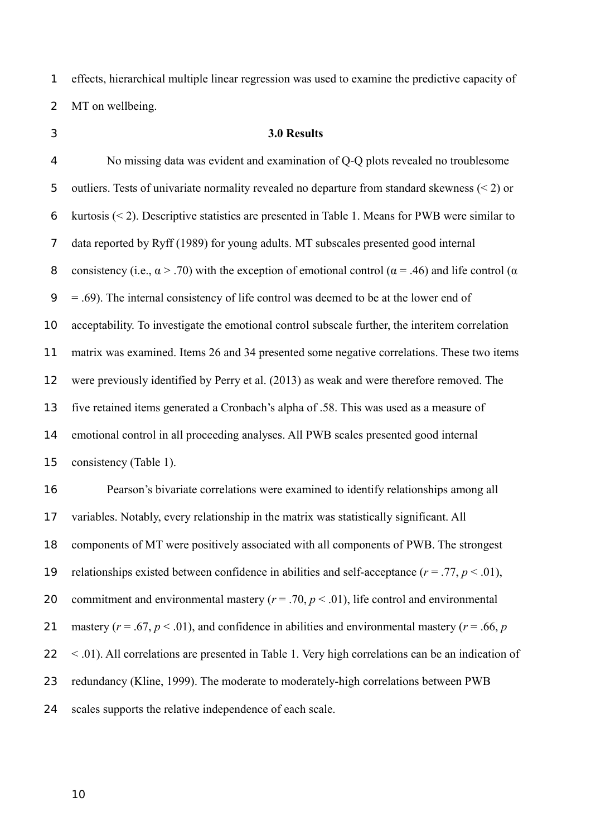effects, hierarchical multiple linear regression was used to examine the predictive capacity of MT on wellbeing. 1 2

3

## **3.0 Results**

No missing data was evident and examination of Q-Q plots revealed no troublesome outliers. Tests of univariate normality revealed no departure from standard skewness (< 2) or kurtosis (< 2). Descriptive statistics are presented in Table 1. Means for PWB were similar to data reported by Ryff (1989) for young adults. MT subscales presented good internal consistency (i.e.,  $\alpha$  > .70) with the exception of emotional control ( $\alpha$  = .46) and life control ( $\alpha$ = .69). The internal consistency of life control was deemed to be at the lower end of acceptability. To investigate the emotional control subscale further, the interitem correlation matrix was examined. Items 26 and 34 presented some negative correlations. These two items were previously identified by Perry et al. (2013) as weak and were therefore removed. The five retained items generated a Cronbach's alpha of .58. This was used as a measure of emotional control in all proceeding analyses. All PWB scales presented good internal consistency (Table 1). Pearson's bivariate correlations were examined to identify relationships among all variables. Notably, every relationship in the matrix was statistically significant. All components of MT were positively associated with all components of PWB. The strongest relationships existed between confidence in abilities and self-acceptance  $(r = .77, p < .01)$ , commitment and environmental mastery ( $r = .70$ ,  $p < .01$ ), life control and environmental mastery ( $r = .67$ ,  $p < .01$ ), and confidence in abilities and environmental mastery ( $r = .66$ ,  $p$ ) < .01). All correlations are presented in Table 1. Very high correlations can be an indication of redundancy (Kline, 1999). The moderate to moderately-high correlations between PWB 4 5 6 7 8 9 10 11 12 13 14 15 16 17 18 19 20 21 22 23

scales supports the relative independence of each scale. 24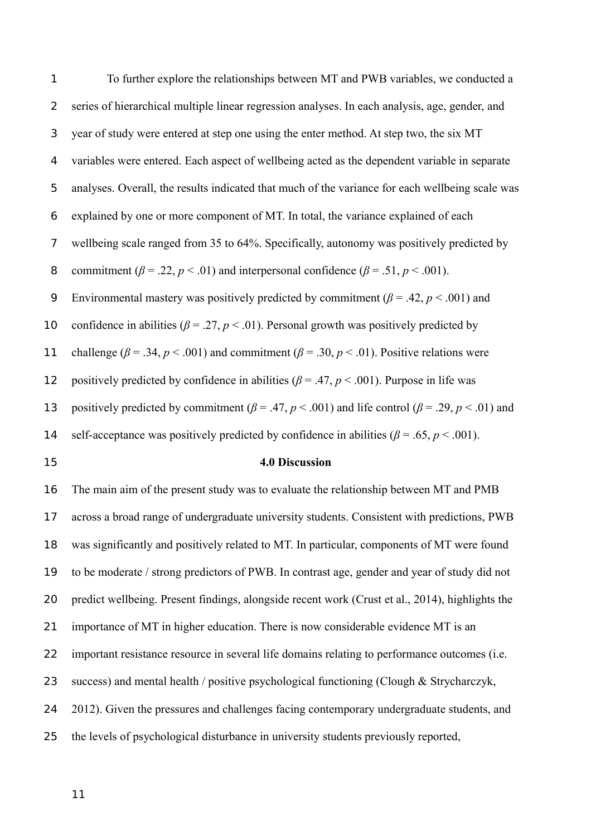To further explore the relationships between MT and PWB variables, we conducted a series of hierarchical multiple linear regression analyses. In each analysis, age, gender, and year of study were entered at step one using the enter method. At step two, the six MT variables were entered. Each aspect of wellbeing acted as the dependent variable in separate analyses. Overall, the results indicated that much of the variance for each wellbeing scale was explained by one or more component of MT. In total, the variance explained of each wellbeing scale ranged from 35 to 64%. Specifically, autonomy was positively predicted by commitment ( $\beta$  = .22,  $p$  < .01) and interpersonal confidence ( $\beta$  = .51,  $p$  < .001). Environmental mastery was positively predicted by commitment ( $\beta$  = .42,  $p$  < .001) and confidence in abilities ( $\beta$  = .27,  $p$  < .01). Personal growth was positively predicted by challenge ( $\beta$  = .34,  $p$  < .001) and commitment ( $\beta$  = .30,  $p$  < .01). Positive relations were positively predicted by confidence in abilities ( $\beta$  = .47,  $p$  < .001). Purpose in life was positively predicted by commitment ( $\beta$  = .47,  $p$  < .001) and life control ( $\beta$  = .29,  $p$  < .01) and self-acceptance was positively predicted by confidence in abilities ( $\beta$  = .65, *p* < .001). 1  $\overline{2}$ 3 4 5 6 7 8 9 10 11 12 13 14

15

### **4.0 Discussion**

The main aim of the present study was to evaluate the relationship between MT and PMB across a broad range of undergraduate university students. Consistent with predictions, PWB was significantly and positively related to MT. In particular, components of MT were found to be moderate / strong predictors of PWB. In contrast age, gender and year of study did not predict wellbeing. Present findings, alongside recent work (Crust et al., 2014), highlights the importance of MT in higher education. There is now considerable evidence MT is an important resistance resource in several life domains relating to performance outcomes (i.e. success) and mental health / positive psychological functioning (Clough & Strycharczyk, 2012). Given the pressures and challenges facing contemporary undergraduate students, and the levels of psychological disturbance in university students previously reported, 16 17 18 19 20 21 22 23 24 25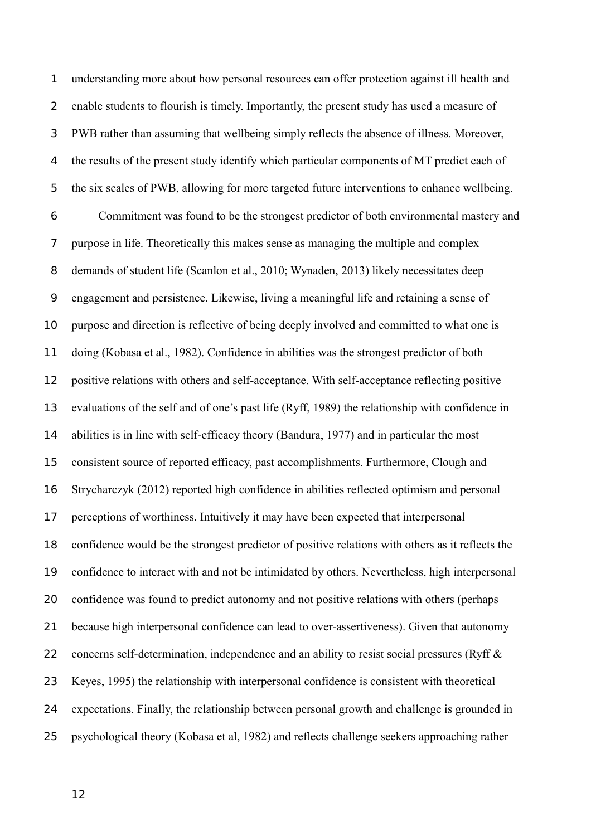understanding more about how personal resources can offer protection against ill health and enable students to flourish is timely. Importantly, the present study has used a measure of PWB rather than assuming that wellbeing simply reflects the absence of illness. Moreover, the results of the present study identify which particular components of MT predict each of the six scales of PWB, allowing for more targeted future interventions to enhance wellbeing. Commitment was found to be the strongest predictor of both environmental mastery and purpose in life. Theoretically this makes sense as managing the multiple and complex demands of student life (Scanlon et al., 2010; Wynaden, 2013) likely necessitates deep engagement and persistence. Likewise, living a meaningful life and retaining a sense of purpose and direction is reflective of being deeply involved and committed to what one is doing (Kobasa et al., 1982). Confidence in abilities was the strongest predictor of both positive relations with others and self-acceptance. With self-acceptance reflecting positive evaluations of the self and of one's past life (Ryff, 1989) the relationship with confidence in abilities is in line with self-efficacy theory (Bandura, 1977) and in particular the most consistent source of reported efficacy, past accomplishments. Furthermore, Clough and Strycharczyk (2012) reported high confidence in abilities reflected optimism and personal perceptions of worthiness. Intuitively it may have been expected that interpersonal confidence would be the strongest predictor of positive relations with others as it reflects the confidence to interact with and not be intimidated by others. Nevertheless, high interpersonal confidence was found to predict autonomy and not positive relations with others (perhaps because high interpersonal confidence can lead to over-assertiveness). Given that autonomy concerns self-determination, independence and an ability to resist social pressures (Ryff & Keyes, 1995) the relationship with interpersonal confidence is consistent with theoretical expectations. Finally, the relationship between personal growth and challenge is grounded in psychological theory (Kobasa et al, 1982) and reflects challenge seekers approaching rather 1  $\overline{2}$ 3 4 5 6 7 8 9 10 11 12 13 14 15 16 17 18 19 20 21 22 23 24 25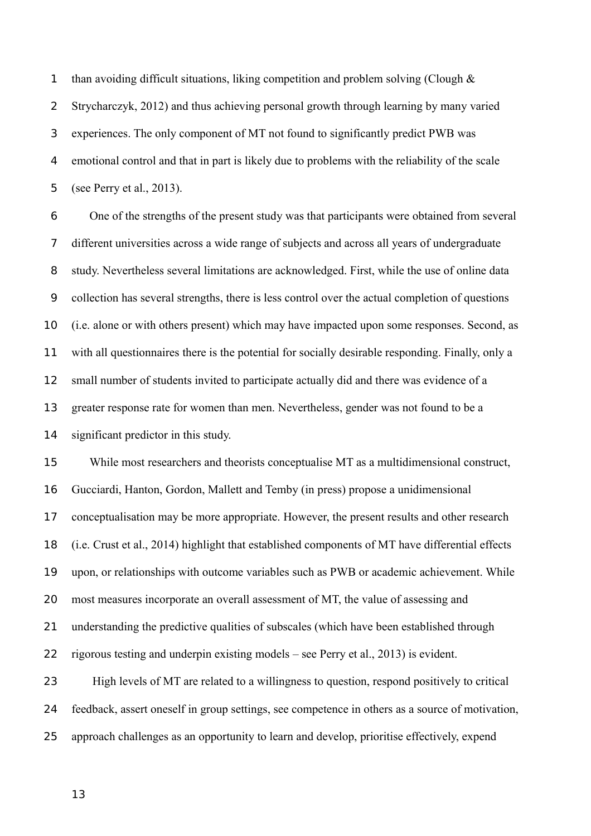than avoiding difficult situations, liking competition and problem solving (Clough & Strycharczyk, 2012) and thus achieving personal growth through learning by many varied experiences. The only component of MT not found to significantly predict PWB was emotional control and that in part is likely due to problems with the reliability of the scale (see Perry et al., 2013). 1  $\overline{2}$ 3 4 5

One of the strengths of the present study was that participants were obtained from several different universities across a wide range of subjects and across all years of undergraduate study. Nevertheless several limitations are acknowledged. First, while the use of online data collection has several strengths, there is less control over the actual completion of questions (i.e. alone or with others present) which may have impacted upon some responses. Second, as with all questionnaires there is the potential for socially desirable responding. Finally, only a small number of students invited to participate actually did and there was evidence of a greater response rate for women than men. Nevertheless, gender was not found to be a significant predictor in this study. 6 7 8 9 10 11 12 13 14

While most researchers and theorists conceptualise MT as a multidimensional construct, Gucciardi, Hanton, Gordon, Mallett and Temby (in press) propose a unidimensional conceptualisation may be more appropriate. However, the present results and other research (i.e. Crust et al., 2014) highlight that established components of MT have differential effects upon, or relationships with outcome variables such as PWB or academic achievement. While most measures incorporate an overall assessment of MT, the value of assessing and understanding the predictive qualities of subscales (which have been established through rigorous testing and underpin existing models – see Perry et al., 2013) is evident. High levels of MT are related to a willingness to question, respond positively to critical feedback, assert oneself in group settings, see competence in others as a source of motivation, 15 16 17 18 19 20 21 22 23 24

- approach challenges as an opportunity to learn and develop, prioritise effectively, expend 25
	- 13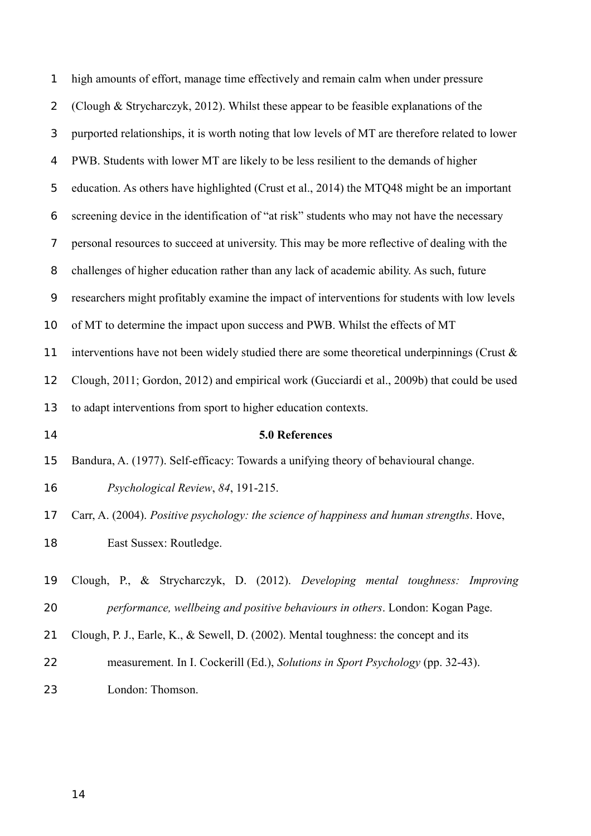| 1              | high amounts of effort, manage time effectively and remain calm when under pressure              |  |  |  |  |  |  |  |  |
|----------------|--------------------------------------------------------------------------------------------------|--|--|--|--|--|--|--|--|
| $\overline{2}$ | (Clough & Strycharczyk, 2012). Whilst these appear to be feasible explanations of the            |  |  |  |  |  |  |  |  |
| 3              | purported relationships, it is worth noting that low levels of MT are therefore related to lower |  |  |  |  |  |  |  |  |
| 4              | PWB. Students with lower MT are likely to be less resilient to the demands of higher             |  |  |  |  |  |  |  |  |
| 5              | education. As others have highlighted (Crust et al., 2014) the MTQ48 might be an important       |  |  |  |  |  |  |  |  |
| 6              | screening device in the identification of "at risk" students who may not have the necessary      |  |  |  |  |  |  |  |  |
| 7              | personal resources to succeed at university. This may be more reflective of dealing with the     |  |  |  |  |  |  |  |  |
| 8              | challenges of higher education rather than any lack of academic ability. As such, future         |  |  |  |  |  |  |  |  |
| 9              | researchers might profitably examine the impact of interventions for students with low levels    |  |  |  |  |  |  |  |  |
| 10             | of MT to determine the impact upon success and PWB. Whilst the effects of MT                     |  |  |  |  |  |  |  |  |
| 11             | interventions have not been widely studied there are some theoretical underpinnings (Crust $\&$  |  |  |  |  |  |  |  |  |
| 12             | Clough, 2011; Gordon, 2012) and empirical work (Gucciardi et al., 2009b) that could be used      |  |  |  |  |  |  |  |  |
|                | to adapt interventions from sport to higher education contexts.                                  |  |  |  |  |  |  |  |  |
| 13             |                                                                                                  |  |  |  |  |  |  |  |  |
| 14             | 5.0 References                                                                                   |  |  |  |  |  |  |  |  |
| 15             | Bandura, A. (1977). Self-efficacy: Towards a unifying theory of behavioural change.              |  |  |  |  |  |  |  |  |
| 16             | Psychological Review, 84, 191-215.                                                               |  |  |  |  |  |  |  |  |
| 17             | Carr, A. (2004). Positive psychology: the science of happiness and human strengths. Hove,        |  |  |  |  |  |  |  |  |
| 18             | East Sussex: Routledge.                                                                          |  |  |  |  |  |  |  |  |
| 19             | Clough, P., & Strycharczyk, D. (2012). Developing mental toughness: Improving                    |  |  |  |  |  |  |  |  |
| 20             | performance, wellbeing and positive behaviours in others. London: Kogan Page.                    |  |  |  |  |  |  |  |  |
| 21             | Clough, P. J., Earle, K., & Sewell, D. (2002). Mental toughness: the concept and its             |  |  |  |  |  |  |  |  |
| 22             | measurement. In I. Cockerill (Ed.), Solutions in Sport Psychology (pp. 32-43).                   |  |  |  |  |  |  |  |  |
| 23             | London: Thomson.                                                                                 |  |  |  |  |  |  |  |  |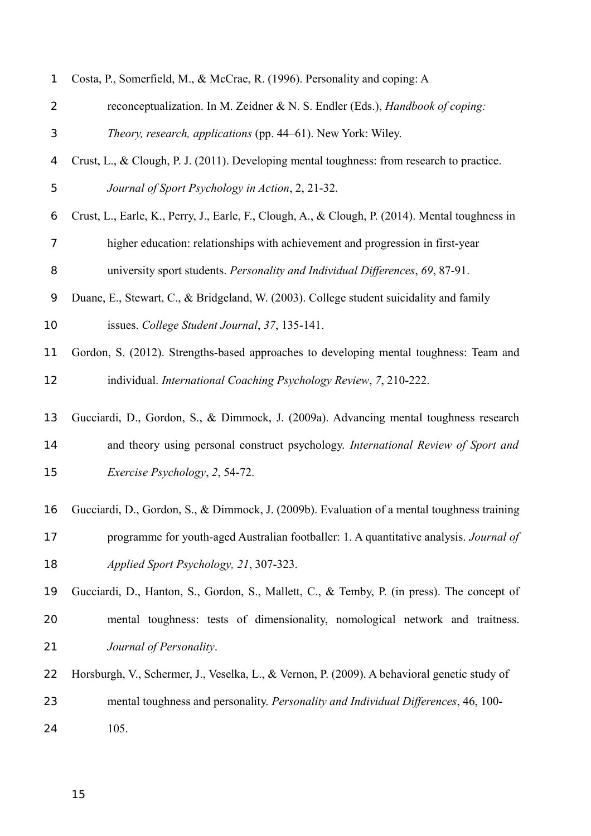| 1  | Costa, P., Somerfield, M., & McCrae, R. (1996). Personality and coping: A                        |  |  |  |  |  |  |  |
|----|--------------------------------------------------------------------------------------------------|--|--|--|--|--|--|--|
| 2  | reconceptualization. In M. Zeidner & N. S. Endler (Eds.), Handbook of coping:                    |  |  |  |  |  |  |  |
| 3  | Theory, research, applications (pp. 44-61). New York: Wiley.                                     |  |  |  |  |  |  |  |
| 4  | Crust, L., & Clough, P. J. (2011). Developing mental toughness: from research to practice.       |  |  |  |  |  |  |  |
| 5  | Journal of Sport Psychology in Action, 2, 21-32.                                                 |  |  |  |  |  |  |  |
| 6  | Crust, L., Earle, K., Perry, J., Earle, F., Clough, A., & Clough, P. (2014). Mental toughness in |  |  |  |  |  |  |  |
| 7  | higher education: relationships with achievement and progression in first-year                   |  |  |  |  |  |  |  |
| 8  | university sport students. Personality and Individual Differences, 69, 87-91.                    |  |  |  |  |  |  |  |
| 9  | Duane, E., Stewart, C., & Bridgeland, W. (2003). College student suicidality and family          |  |  |  |  |  |  |  |
| 10 | issues. College Student Journal, 37, 135-141.                                                    |  |  |  |  |  |  |  |
| 11 | Gordon, S. (2012). Strengths-based approaches to developing mental toughness: Team and           |  |  |  |  |  |  |  |
| 12 | individual. International Coaching Psychology Review, 7, 210-222.                                |  |  |  |  |  |  |  |
| 13 | Gucciardi, D., Gordon, S., & Dimmock, J. (2009a). Advancing mental toughness research            |  |  |  |  |  |  |  |
| 14 | and theory using personal construct psychology. International Review of Sport and                |  |  |  |  |  |  |  |
| 15 | Exercise Psychology, 2, 54-72.                                                                   |  |  |  |  |  |  |  |
| 16 | Gucciardi, D., Gordon, S., & Dimmock, J. (2009b). Evaluation of a mental toughness training      |  |  |  |  |  |  |  |
| 17 | programme for youth-aged Australian footballer: 1. A quantitative analysis. Journal of           |  |  |  |  |  |  |  |
| 18 | Applied Sport Psychology, 21, 307-323.                                                           |  |  |  |  |  |  |  |
| 19 | Gucciardi, D., Hanton, S., Gordon, S., Mallett, C., & Temby, P. (in press). The concept of       |  |  |  |  |  |  |  |
| 20 | mental toughness: tests of dimensionality, nomological network and traitness.                    |  |  |  |  |  |  |  |
| 21 | Journal of Personality.                                                                          |  |  |  |  |  |  |  |
| 22 | Horsburgh, V., Schermer, J., Veselka, L., & Vernon, P. (2009). A behavioral genetic study of     |  |  |  |  |  |  |  |
| 23 | mental toughness and personality. Personality and Individual Differences, 46, 100-               |  |  |  |  |  |  |  |
| 24 | 105.                                                                                             |  |  |  |  |  |  |  |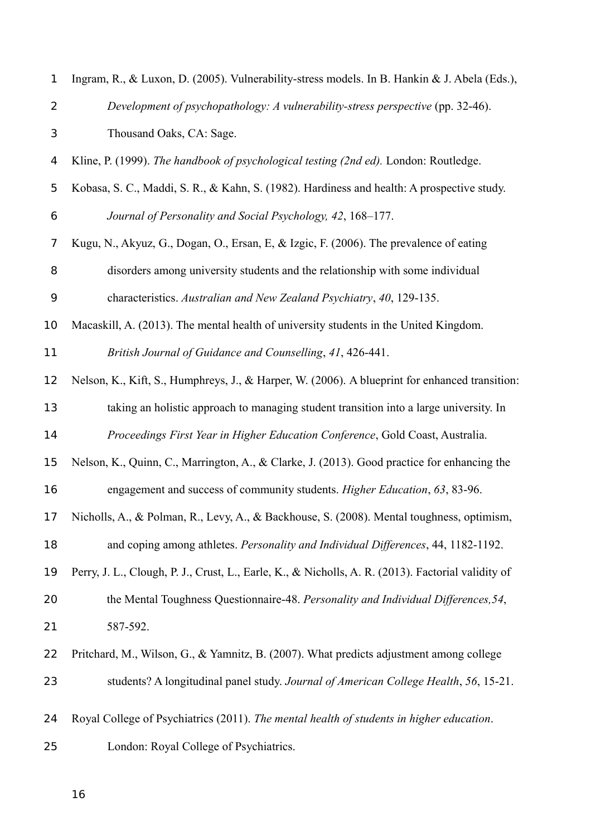| 1              | Ingram, R., & Luxon, D. (2005). Vulnerability-stress models. In B. Hankin & J. Abela (Eds.),       |  |  |  |  |  |  |  |
|----------------|----------------------------------------------------------------------------------------------------|--|--|--|--|--|--|--|
| $\overline{2}$ | Development of psychopathology: A vulnerability-stress perspective (pp. 32-46).                    |  |  |  |  |  |  |  |
| 3              | Thousand Oaks, CA: Sage.                                                                           |  |  |  |  |  |  |  |
| 4              | Kline, P. (1999). The handbook of psychological testing (2nd ed). London: Routledge.               |  |  |  |  |  |  |  |
| 5              | Kobasa, S. C., Maddi, S. R., & Kahn, S. (1982). Hardiness and health: A prospective study.         |  |  |  |  |  |  |  |
| 6              | Journal of Personality and Social Psychology, 42, 168-177.                                         |  |  |  |  |  |  |  |
| 7              | Kugu, N., Akyuz, G., Dogan, O., Ersan, E, & Izgic, F. (2006). The prevalence of eating             |  |  |  |  |  |  |  |
| 8              | disorders among university students and the relationship with some individual                      |  |  |  |  |  |  |  |
| 9              | characteristics. Australian and New Zealand Psychiatry, 40, 129-135.                               |  |  |  |  |  |  |  |
| 10             | Macaskill, A. (2013). The mental health of university students in the United Kingdom.              |  |  |  |  |  |  |  |
| 11             | British Journal of Guidance and Counselling, 41, 426-441.                                          |  |  |  |  |  |  |  |
| 12             | Nelson, K., Kift, S., Humphreys, J., & Harper, W. (2006). A blueprint for enhanced transition:     |  |  |  |  |  |  |  |
| 13             | taking an holistic approach to managing student transition into a large university. In             |  |  |  |  |  |  |  |
| 14             | Proceedings First Year in Higher Education Conference, Gold Coast, Australia.                      |  |  |  |  |  |  |  |
| 15             | Nelson, K., Quinn, C., Marrington, A., & Clarke, J. (2013). Good practice for enhancing the        |  |  |  |  |  |  |  |
| 16             | engagement and success of community students. Higher Education, 63, 83-96.                         |  |  |  |  |  |  |  |
|                | 17 Nicholls, A., & Polman, R., Levy, A., & Backhouse, S. (2008). Mental toughness, optimism,       |  |  |  |  |  |  |  |
| 18             | and coping among athletes. Personality and Individual Differences, 44, 1182-1192.                  |  |  |  |  |  |  |  |
| 19             | Perry, J. L., Clough, P. J., Crust, L., Earle, K., & Nicholls, A. R. (2013). Factorial validity of |  |  |  |  |  |  |  |
| 20             | the Mental Toughness Questionnaire-48. Personality and Individual Differences, 54,                 |  |  |  |  |  |  |  |
| 21             | 587-592.                                                                                           |  |  |  |  |  |  |  |
| 22             | Pritchard, M., Wilson, G., & Yamnitz, B. (2007). What predicts adjustment among college            |  |  |  |  |  |  |  |
| 23             | students? A longitudinal panel study. Journal of American College Health, 56, 15-21.               |  |  |  |  |  |  |  |
| 24             | Royal College of Psychiatrics (2011). The mental health of students in higher education.           |  |  |  |  |  |  |  |
| 25             | London: Royal College of Psychiatrics.                                                             |  |  |  |  |  |  |  |